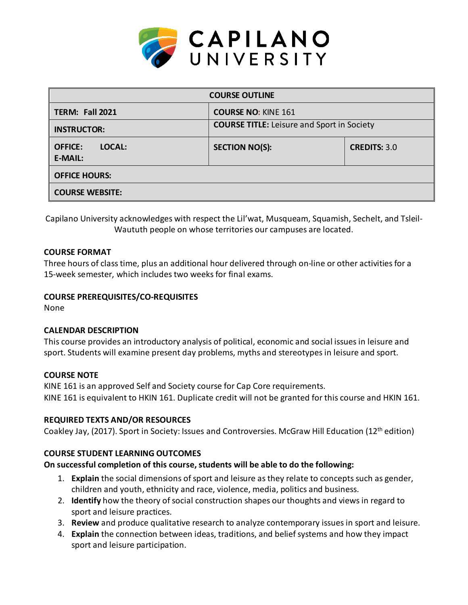

| <b>COURSE OUTLINE</b>               |                                                   |                     |  |  |  |
|-------------------------------------|---------------------------------------------------|---------------------|--|--|--|
| <b>TERM: Fall 2021</b>              | <b>COURSE NO: KINE 161</b>                        |                     |  |  |  |
| <b>INSTRUCTOR:</b>                  | <b>COURSE TITLE:</b> Leisure and Sport in Society |                     |  |  |  |
| LOCAL:<br><b>OFFICE:</b><br>E-MAIL: | <b>SECTION NO(S):</b>                             | <b>CREDITS: 3.0</b> |  |  |  |
| <b>OFFICE HOURS:</b>                |                                                   |                     |  |  |  |
| <b>COURSE WEBSITE:</b>              |                                                   |                     |  |  |  |

Capilano University acknowledges with respect the Lil'wat, Musqueam, Squamish, Sechelt, and Tsleil-Waututh people on whose territories our campuses are located.

### **COURSE FORMAT**

Three hours of class time, plus an additional hour delivered through on-line or other activities for a 15-week semester, which includes two weeks for final exams.

### **COURSE PREREQUISITES/CO-REQUISITES**

None

### **CALENDAR DESCRIPTION**

This course provides an introductory analysis of political, economic and social issues in leisure and sport. Students will examine present day problems, myths and stereotypes in leisure and sport.

### **COURSE NOTE**

KINE 161 is an approved Self and Society course for Cap Core requirements. KINE 161 is equivalent to HKIN 161. Duplicate credit will not be granted for this course and HKIN 161.

## **REQUIRED TEXTS AND/OR RESOURCES**

Coakley Jay, (2017). Sport in Society: Issues and Controversies. McGraw Hill Education (12th edition)

## **COURSE STUDENT LEARNING OUTCOMES**

### **On successful completion of this course, students will be able to do the following:**

- 1. **Explain** the social dimensions of sport and leisure as they relate to concepts such as gender, children and youth, ethnicity and race, violence, media, politics and business.
- 2. **Identify** how the theory of social construction shapes our thoughts and views in regard to sport and leisure practices.
- 3. **Review** and produce qualitative research to analyze contemporary issues in sport and leisure.
- 4. **Explain** the connection between ideas, traditions, and belief systems and how they impact sport and leisure participation.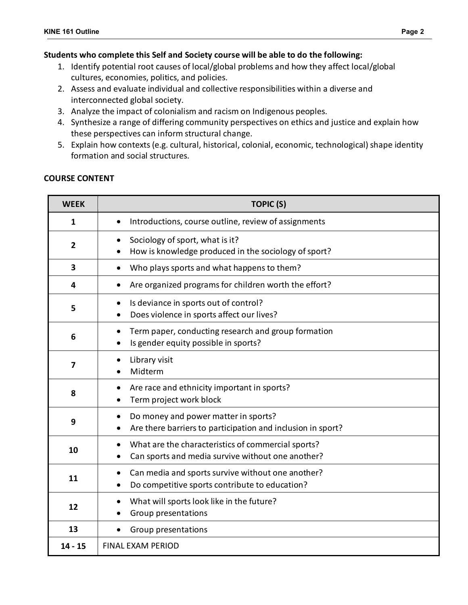### **Students who complete this Self and Society course will be able to do the following:**

- 1. Identify potential root causes of local/global problems and how they affect local/global cultures, economies, politics, and policies.
- 2. Assess and evaluate individual and collective responsibilities within a diverse and interconnected global society.
- 3. Analyze the impact of colonialism and racism on Indigenous peoples.
- 4. Synthesize a range of differing community perspectives on ethics and justice and explain how these perspectives can inform structural change.
- 5. Explain how contexts (e.g. cultural, historical, colonial, economic, technological) shape identity formation and social structures.

| <b>WEEK</b>             | <b>TOPIC (S)</b>                                                                                        |  |  |  |  |
|-------------------------|---------------------------------------------------------------------------------------------------------|--|--|--|--|
| 1                       | Introductions, course outline, review of assignments                                                    |  |  |  |  |
| $\overline{2}$          | Sociology of sport, what is it?<br>How is knowledge produced in the sociology of sport?                 |  |  |  |  |
| $\overline{\mathbf{3}}$ | Who plays sports and what happens to them?                                                              |  |  |  |  |
| 4                       | Are organized programs for children worth the effort?                                                   |  |  |  |  |
| 5                       | Is deviance in sports out of control?<br>$\bullet$<br>Does violence in sports affect our lives?         |  |  |  |  |
| 6                       | Term paper, conducting research and group formation<br>Is gender equity possible in sports?             |  |  |  |  |
| $\overline{\mathbf{z}}$ | Library visit<br>Midterm                                                                                |  |  |  |  |
| 8                       | Are race and ethnicity important in sports?<br>Term project work block                                  |  |  |  |  |
| 9                       | Do money and power matter in sports?<br>Are there barriers to participation and inclusion in sport?     |  |  |  |  |
| 10                      | What are the characteristics of commercial sports?<br>Can sports and media survive without one another? |  |  |  |  |
| 11                      | Can media and sports survive without one another?<br>Do competitive sports contribute to education?     |  |  |  |  |
| 12                      | What will sports look like in the future?<br>Group presentations                                        |  |  |  |  |
| 13                      | Group presentations                                                                                     |  |  |  |  |
| $14 - 15$               | <b>FINAL EXAM PERIOD</b>                                                                                |  |  |  |  |

#### **COURSE CONTENT**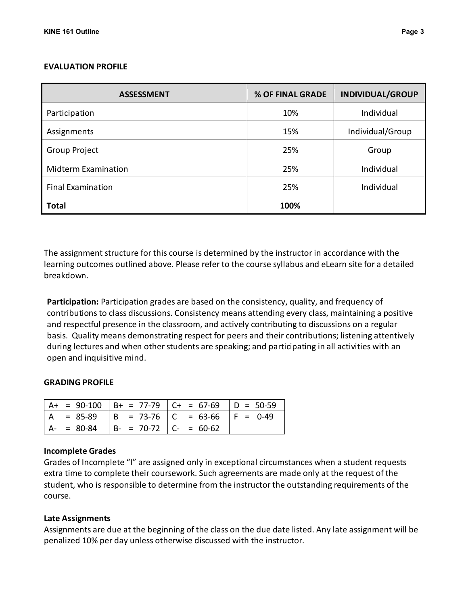#### **EVALUATION PROFILE**

| <b>ASSESSMENT</b>          | % OF FINAL GRADE | <b>INDIVIDUAL/GROUP</b> |
|----------------------------|------------------|-------------------------|
| Participation              | 10%              | Individual              |
| Assignments                | 15%              | Individual/Group        |
| Group Project              | 25%              | Group                   |
| <b>Midterm Examination</b> | 25%              | Individual              |
| <b>Final Examination</b>   | 25%              | Individual              |
| <b>Total</b>               | 100%             |                         |

The assignment structure for this course is determined by the instructor in accordance with the learning outcomes outlined above. Please refer to the course syllabus and eLearn site for a detailed breakdown.

**Participation:** Participation grades are based on the consistency, quality, and frequency of contributions to class discussions. Consistency means attending every class, maintaining a positive and respectful presence in the classroom, and actively contributing to discussions on a regular basis. Quality means demonstrating respect for peers and their contributions; listening attentively during lectures and when other students are speaking; and participating in all activities with an open and inquisitive mind.

#### **GRADING PROFILE**

|               |                               | $A+ = 90-100$ $B+ = 77-79$ $C+ = 67-69$ $D = 50-59$ |  |
|---------------|-------------------------------|-----------------------------------------------------|--|
| $A = 85-89$   |                               | $  B = 73-76   C = 63-66   F = 0-49$                |  |
| $A - = 80-84$ | $  B - = 70-72   C - = 60-62$ |                                                     |  |

#### **Incomplete Grades**

Grades of Incomplete "I" are assigned only in exceptional circumstances when a student requests extra time to complete their coursework. Such agreements are made only at the request of the student, who is responsible to determine from the instructor the outstanding requirements of the course.

#### **Late Assignments**

Assignments are due at the beginning of the class on the due date listed. Any late assignment will be penalized 10% per day unless otherwise discussed with the instructor.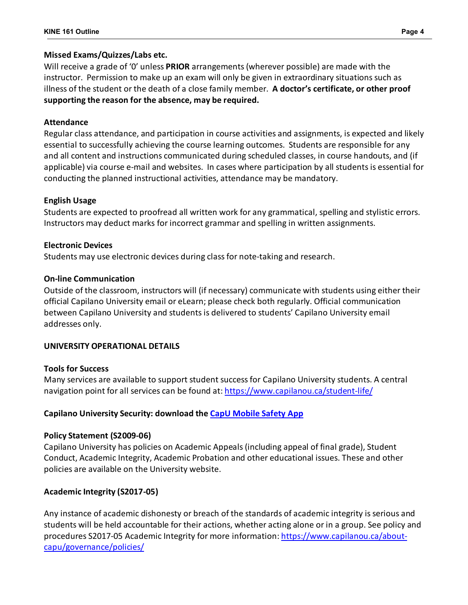# **Missed Exams/Quizzes/Labs etc.**

Will receive a grade of '0' unless **PRIOR** arrangements (wherever possible) are made with the instructor. Permission to make up an exam will only be given in extraordinary situations such as illness of the student or the death of a close family member. **A doctor's certificate, or other proof supporting the reason for the absence, may be required.**

# **Attendance**

Regular class attendance, and participation in course activities and assignments, is expected and likely essential to successfully achieving the course learning outcomes. Students are responsible for any and all content and instructions communicated during scheduled classes, in course handouts, and (if applicable) via course e-mail and websites. In cases where participation by all students is essential for conducting the planned instructional activities, attendance may be mandatory.

# **English Usage**

Students are expected to proofread all written work for any grammatical, spelling and stylistic errors. Instructors may deduct marks for incorrect grammar and spelling in written assignments.

# **Electronic Devices**

Students may use electronic devices during class for note-taking and research.

# **On-line Communication**

Outside of the classroom, instructors will (if necessary) communicate with students using either their official Capilano University email or eLearn; please check both regularly. Official communication between Capilano University and students is delivered to students' Capilano University email addresses only.

# **UNIVERSITY OPERATIONAL DETAILS**

## **Tools for Success**

Many services are available to support student success for Capilano University students. A central navigation point for all services can be found at:<https://www.capilanou.ca/student-life/>

# **Capilano University Security: download the [CapU Mobile Safety App](https://www.capilanou.ca/services/safety-security/CapU-Mobile-Safety-App/)**

# **Policy Statement (S2009-06)**

Capilano University has policies on Academic Appeals (including appeal of final grade), Student Conduct, Academic Integrity, Academic Probation and other educational issues. These and other policies are available on the University website.

# **Academic Integrity (S2017-05)**

Any instance of academic dishonesty or breach of the standards of academic integrity is serious and students will be held accountable for their actions, whether acting alone or in a group. See policy and procedures S2017-05 Academic Integrity for more information: [https://www.capilanou.ca/about](https://www.capilanou.ca/about-capu/governance/policies/)[capu/governance/policies/](https://www.capilanou.ca/about-capu/governance/policies/)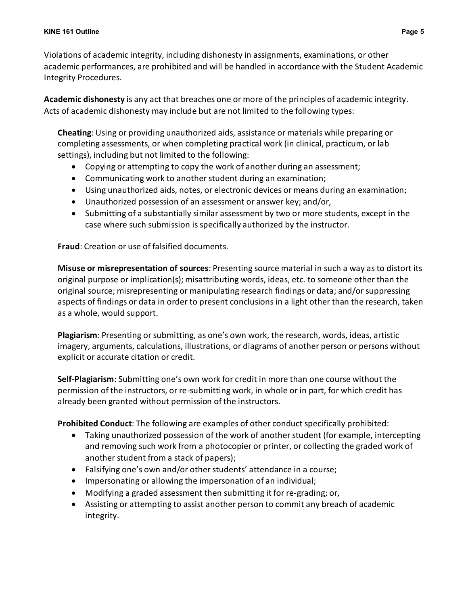Violations of academic integrity, including dishonesty in assignments, examinations, or other academic performances, are prohibited and will be handled in accordance with the Student Academic Integrity Procedures.

**Academic dishonesty** is any act that breaches one or more of the principles of academic integrity. Acts of academic dishonesty may include but are not limited to the following types:

**Cheating**: Using or providing unauthorized aids, assistance or materials while preparing or completing assessments, or when completing practical work (in clinical, practicum, or lab settings), including but not limited to the following:

- Copying or attempting to copy the work of another during an assessment;
- Communicating work to another student during an examination;
- Using unauthorized aids, notes, or electronic devices or means during an examination;
- Unauthorized possession of an assessment or answer key; and/or,
- Submitting of a substantially similar assessment by two or more students, except in the case where such submission is specifically authorized by the instructor.

**Fraud**: Creation or use of falsified documents.

**Misuse or misrepresentation of sources**: Presenting source material in such a way as to distort its original purpose or implication(s); misattributing words, ideas, etc. to someone other than the original source; misrepresenting or manipulating research findings or data; and/or suppressing aspects of findings or data in order to present conclusions in a light other than the research, taken as a whole, would support.

**Plagiarism**: Presenting or submitting, as one's own work, the research, words, ideas, artistic imagery, arguments, calculations, illustrations, or diagrams of another person or persons without explicit or accurate citation or credit.

**Self-Plagiarism**: Submitting one's own work for credit in more than one course without the permission of the instructors, or re-submitting work, in whole or in part, for which credit has already been granted without permission of the instructors.

**Prohibited Conduct**: The following are examples of other conduct specifically prohibited:

- Taking unauthorized possession of the work of another student (for example, intercepting and removing such work from a photocopier or printer, or collecting the graded work of another student from a stack of papers);
- Falsifying one's own and/or other students' attendance in a course;
- Impersonating or allowing the impersonation of an individual;
- Modifying a graded assessment then submitting it for re-grading; or,
- Assisting or attempting to assist another person to commit any breach of academic integrity.